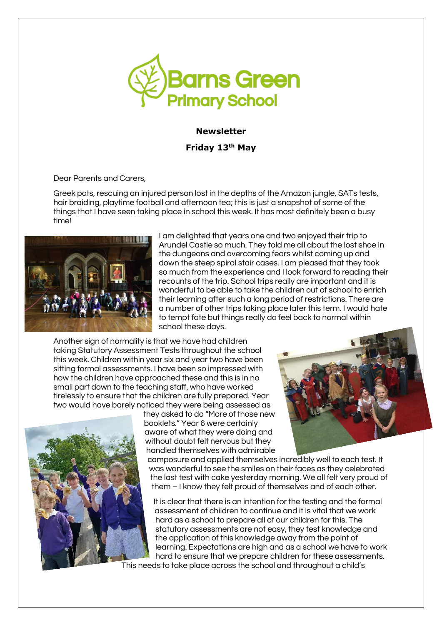

## **Newsletter**

**Friday 13th May** 

Dear Parents and Carers,

Greek pots, rescuing an injured person lost in the depths of the Amazon jungle, SATs tests, hair braiding, playtime football and afternoon tea; this is just a snapshot of some of the things that I have seen taking place in school this week. It has most definitely been a busy time!



I am delighted that years one and two enjoyed their trip to Arundel Castle so much. They told me all about the lost shoe in the dungeons and overcoming fears whilst coming up and down the steep spiral stair cases. I am pleased that they took so much from the experience and I look forward to reading their recounts of the trip. School trips really are important and it is wonderful to be able to take the children out of school to enrich their learning after such a long period of restrictions. There are a number of other trips taking place later this term. I would hate to tempt fate but things really do feel back to normal within school these days.

Another sign of normality is that we have had children taking Statutory Assessment Tests throughout the school this week. Children within year six and year two have been sitting formal assessments. I have been so impressed with how the children have approached these and this is in no small part down to the teaching staff, who have worked tirelessly to ensure that the children are fully prepared. Year two would have barely noticed they were being assessed as



they asked to do "More of those new booklets." Year 6 were certainly aware of what they were doing and without doubt felt nervous but they handled themselves with admirable

composure and applied themselves incredibly well to each test. It was wonderful to see the smiles on their faces as they celebrated the last test with cake yesterday morning. We all felt very proud of them – I know they felt proud of themselves and of each other.

It is clear that there is an intention for the testing and the formal assessment of children to continue and it is vital that we work hard as a school to prepare all of our children for this. The statutory assessments are not easy, they test knowledge and the application of this knowledge away from the point of learning. Expectations are high and as a school we have to work hard to ensure that we prepare children for these assessments.

This needs to take place across the school and throughout a child's

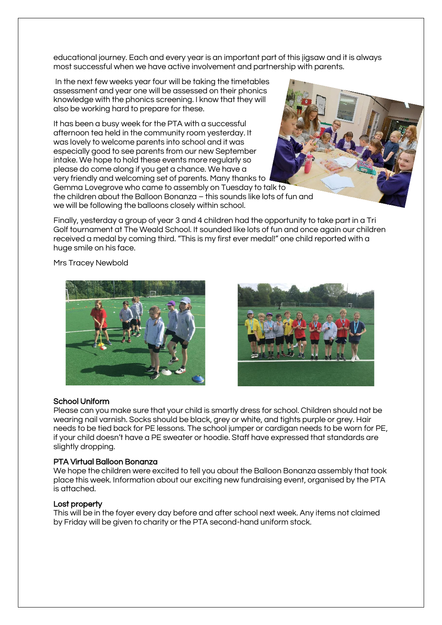educational journey. Each and every year is an important part of this jigsaw and it is always most successful when we have active involvement and partnership with parents.

In the next few weeks year four will be taking the timetables assessment and year one will be assessed on their phonics knowledge with the phonics screening. I know that they will also be working hard to prepare for these.

It has been a busy week for the PTA with a successful afternoon tea held in the community room yesterday. It was lovely to welcome parents into school and it was especially good to see parents from our new September intake. We hope to hold these events more regularly so please do come along if you get a chance. We have a very friendly and welcoming set of parents. Many thanks to Gemma Lovegrove who came to assembly on Tuesday to talk to the children about the Balloon Bonanza – this sounds like lots of fun and we will be following the balloons closely within school.

Finally, yesterday a group of year 3 and 4 children had the opportunity to take part in a Tri Golf tournament at The Weald School. It sounded like lots of fun and once again our children received a medal by coming third. "This is my first ever medal!" one child reported with a huge smile on his face.

Mrs Tracey Newbold





# School Uniform

Please can you make sure that your child is smartly dress for school. Children should not be wearing nail varnish. Socks should be black, grey or white, and tights purple or grey. Hair needs to be tied back for PE lessons. The school jumper or cardigan needs to be worn for PE, if your child doesn't have a PE sweater or hoodie. Staff have expressed that standards are slightly dropping.

## PTA Virtual Balloon Bonanza

We hope the children were excited to tell you about the Balloon Bonanza assembly that took place this week. Information about our exciting new fundraising event, organised by the PTA is attached.

## Lost property

This will be in the foyer every day before and after school next week. Any items not claimed by Friday will be given to charity or the PTA second-hand uniform stock.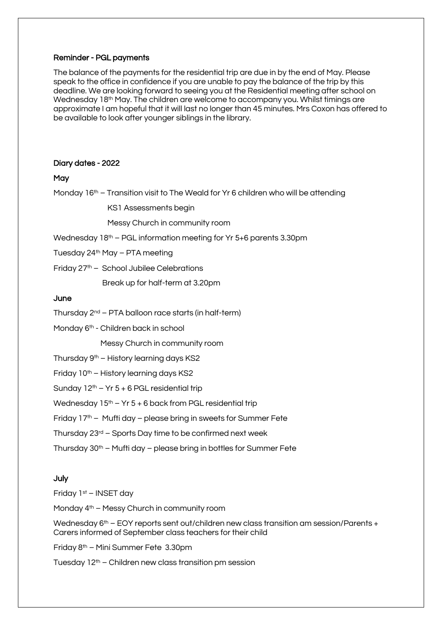### Reminder - PGL payments

The balance of the payments for the residential trip are due in by the end of May. Please speak to the office in confidence if you are unable to pay the balance of the trip by this deadline. We are looking forward to seeing you at the Residential meeting after school on Wednesday 18th May. The children are welcome to accompany you. Whilst timings are approximate I am hopeful that it will last no longer than 45 minutes. Mrs Coxon has offered to be available to look after younger siblings in the library.

#### Diary dates - 2022

#### **May**

Monday  $16<sup>th</sup>$  – Transition visit to The Weald for Yr 6 children who will be attending

KS1 Assessments begin

Messy Church in community room

Wednesday  $18<sup>th</sup>$  – PGL information meeting for Yr 5+6 parents 3.30pm

Tuesday  $24<sup>th</sup>$  May – PTA meeting

Friday  $27<sup>th</sup>$  – School Jubilee Celebrations

Break up for half-term at 3.20pm

## June

- Thursday  $2^{nd}$  PTA balloon race starts (in half-term)
- Monday 6<sup>th</sup> Children back in school

Messy Church in community room

- Thursday  $9<sup>th</sup>$  History learning days KS2
- Friday 10<sup>th</sup> History learning days KS2
- Sunday  $12<sup>th</sup> Yr 5 + 6$  PGL residential trip

Wednesday  $15<sup>th</sup> - Yr 5 + 6$  back from PGL residential trip

Friday 17<sup>th</sup> – Mufti day – please bring in sweets for Summer Fete

- Thursday 23rd Sports Day time to be confirmed next week
- Thursday  $30<sup>th</sup>$  Mufti day please bring in bottles for Summer Fete

## July

Friday 1st – INSET day

Monday 4th – Messy Church in community room

Wednesday 6<sup>th</sup> – EOY reports sent out/children new class transition am session/Parents + Carers informed of September class teachers for their child

Friday 8th – Mini Summer Fete 3.30pm

Tuesday  $12<sup>th</sup>$  – Children new class transition pm session